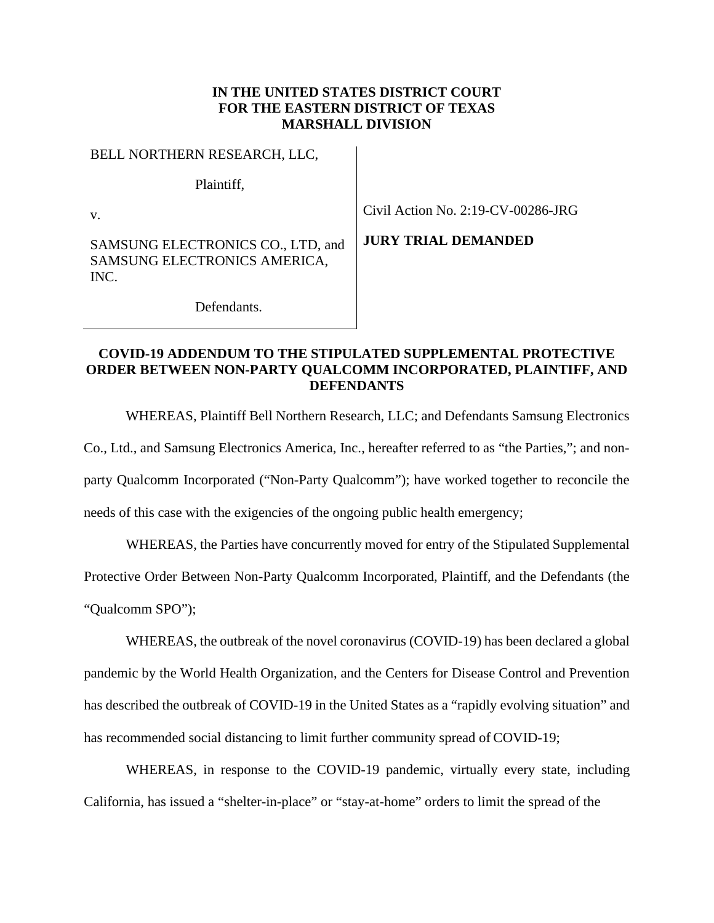### **IN THE UNITED STATES DISTRICT COURT FOR THE EASTERN DISTRICT OF TEXAS MARSHALL DIVISION**

| BELL NORTHERN RESEARCH, LLC,                                              |            |
|---------------------------------------------------------------------------|------------|
| Plaintiff,                                                                |            |
| $\mathbf{V}$                                                              |            |
| SAMSUNG ELECTRONICS CO., LTD, and<br>SAMSUNG ELECTRONICS AMERICA,<br>INC. | <b>III</b> |
| Defendants                                                                |            |

 $V$ il Action No. 2:19-CV-00286-JRG

**RY TRIAL DEMANDED** 

Defendants.

## **COVID-19 ADDENDUM TO THE STIPULATED SUPPLEMENTAL PROTECTIVE ORDER BETWEEN NON-PARTY QUALCOMM INCORPORATED, PLAINTIFF, AND DEFENDANTS**

WHEREAS, Plaintiff Bell Northern Research, LLC; and Defendants Samsung Electronics Co., Ltd., and Samsung Electronics America, Inc., hereafter referred to as "the Parties,"; and nonparty Qualcomm Incorporated ("Non-Party Qualcomm"); have worked together to reconcile the needs of this case with the exigencies of the ongoing public health emergency;

WHEREAS, the Parties have concurrently moved for entry of the Stipulated Supplemental Protective Order Between Non-Party Qualcomm Incorporated, Plaintiff, and the Defendants (the "Qualcomm SPO");

WHEREAS, the outbreak of the novel coronavirus (COVID-19) has been declared a global pandemic by the World Health Organization, and the Centers for Disease Control and Prevention has described the outbreak of COVID-19 in the United States as a "rapidly evolving situation" and has recommended social distancing to limit further community spread of COVID-19;

WHEREAS, in response to the COVID-19 pandemic, virtually every state, including California, has issued a "shelter-in-place" or "stay-at-home" orders to limit the spread of the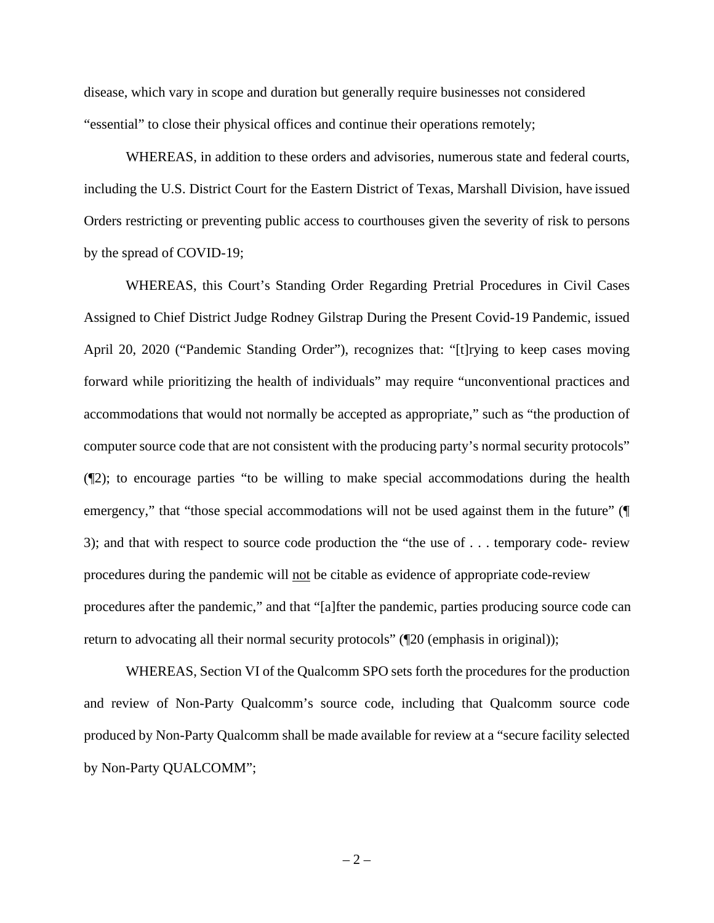disease, which vary in scope and duration but generally require businesses not considered "essential" to close their physical offices and continue their operations remotely;

WHEREAS, in addition to these orders and advisories, numerous state and federal courts, including the U.S. District Court for the Eastern District of Texas, Marshall Division, have issued Orders restricting or preventing public access to courthouses given the severity of risk to persons by the spread of COVID-19;

WHEREAS, this Court's Standing Order Regarding Pretrial Procedures in Civil Cases Assigned to Chief District Judge Rodney Gilstrap During the Present Covid-19 Pandemic, issued April 20, 2020 ("Pandemic Standing Order"), recognizes that: "[t]rying to keep cases moving forward while prioritizing the health of individuals" may require "unconventional practices and accommodations that would not normally be accepted as appropriate," such as "the production of computer source code that are not consistent with the producing party's normal security protocols" (¶2); to encourage parties "to be willing to make special accommodations during the health emergency," that "those special accommodations will not be used against them in the future" ( $\P$ 3); and that with respect to source code production the "the use of . . . temporary code- review procedures during the pandemic will not be citable as evidence of appropriate code-review procedures after the pandemic," and that "[a]fter the pandemic, parties producing source code can return to advocating all their normal security protocols" ( $\mathbb{Z}20$  (emphasis in original));

WHEREAS, Section VI of the Qualcomm SPO sets forth the procedures for the production and review of Non-Party Qualcomm's source code, including that Qualcomm source code produced by Non-Party Qualcomm shall be made available for review at a "secure facility selected by Non-Party QUALCOMM";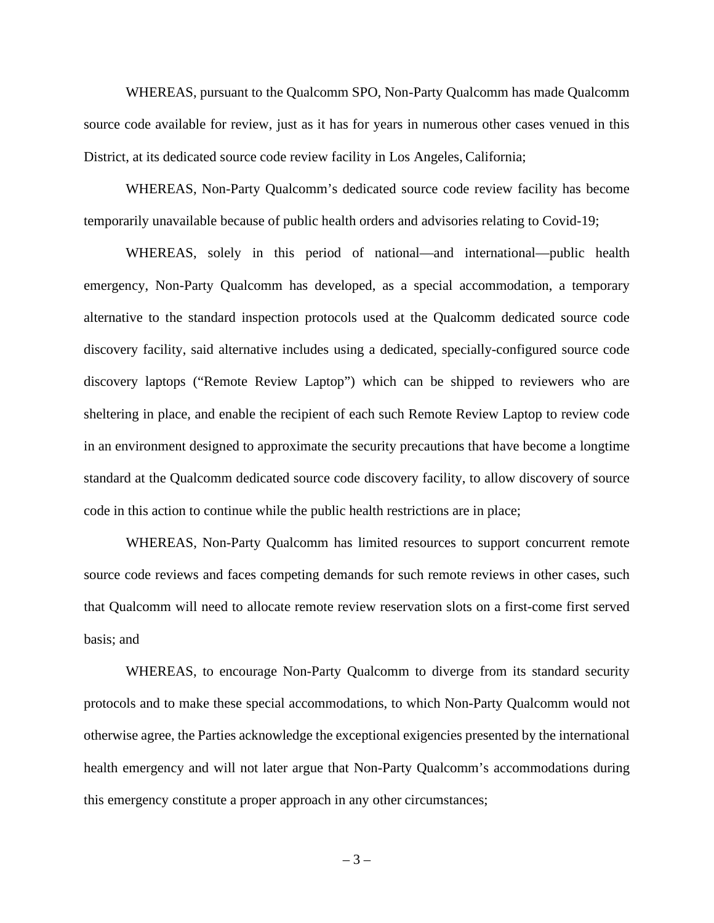WHEREAS, pursuant to the Qualcomm SPO, Non-Party Qualcomm has made Qualcomm source code available for review, just as it has for years in numerous other cases venued in this District, at its dedicated source code review facility in Los Angeles, California;

WHEREAS, Non-Party Qualcomm's dedicated source code review facility has become temporarily unavailable because of public health orders and advisories relating to Covid-19;

WHEREAS, solely in this period of national—and international—public health emergency, Non-Party Qualcomm has developed, as a special accommodation, a temporary alternative to the standard inspection protocols used at the Qualcomm dedicated source code discovery facility, said alternative includes using a dedicated, specially-configured source code discovery laptops ("Remote Review Laptop") which can be shipped to reviewers who are sheltering in place, and enable the recipient of each such Remote Review Laptop to review code in an environment designed to approximate the security precautions that have become a longtime standard at the Qualcomm dedicated source code discovery facility, to allow discovery of source code in this action to continue while the public health restrictions are in place;

WHEREAS, Non-Party Qualcomm has limited resources to support concurrent remote source code reviews and faces competing demands for such remote reviews in other cases, such that Qualcomm will need to allocate remote review reservation slots on a first-come first served basis; and

WHEREAS, to encourage Non-Party Qualcomm to diverge from its standard security protocols and to make these special accommodations, to which Non-Party Qualcomm would not otherwise agree, the Parties acknowledge the exceptional exigencies presented by the international health emergency and will not later argue that Non-Party Qualcomm's accommodations during this emergency constitute a proper approach in any other circumstances;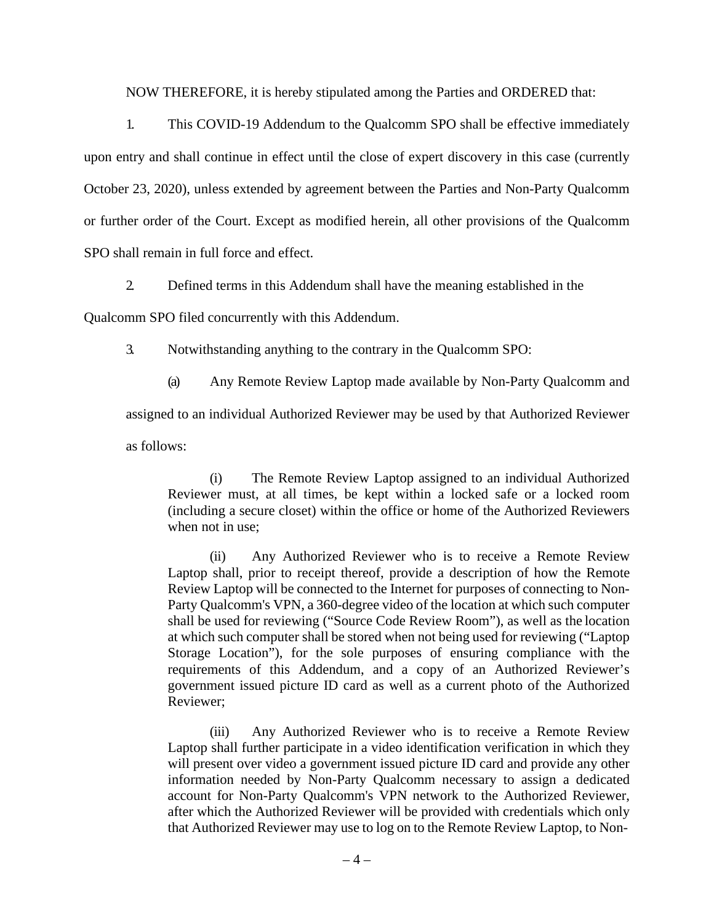NOW THEREFORE, it is hereby stipulated among the Parties and ORDERED that:

1. This COVID-19 Addendum to the Qualcomm SPO shall be effective immediately upon entry and shall continue in effect until the close of expert discovery in this case (currently October 23, 2020), unless extended by agreement between the Parties and Non-Party Qualcomm or further order of the Court. Except as modified herein, all other provisions of the Qualcomm SPO shall remain in full force and effect.

2. Defined terms in this Addendum shall have the meaning established in the

Qualcomm SPO filed concurrently with this Addendum.

3. Notwithstanding anything to the contrary in the Qualcomm SPO:

(a) Any Remote Review Laptop made available by Non-Party Qualcomm and assigned to an individual Authorized Reviewer may be used by that Authorized Reviewer as follows:

(i) The Remote Review Laptop assigned to an individual Authorized Reviewer must, at all times, be kept within a locked safe or a locked room (including a secure closet) within the office or home of the Authorized Reviewers when not in use;

(ii) Any Authorized Reviewer who is to receive a Remote Review Laptop shall, prior to receipt thereof, provide a description of how the Remote Review Laptop will be connected to the Internet for purposes of connecting to Non-Party Qualcomm's VPN, a 360-degree video of the location at which such computer shall be used for reviewing ("Source Code Review Room"), as well as the location at which such computer shall be stored when not being used for reviewing ("Laptop Storage Location"), for the sole purposes of ensuring compliance with the requirements of this Addendum, and a copy of an Authorized Reviewer's government issued picture ID card as well as a current photo of the Authorized Reviewer;

(iii) Any Authorized Reviewer who is to receive a Remote Review Laptop shall further participate in a video identification verification in which they will present over video a government issued picture ID card and provide any other information needed by Non-Party Qualcomm necessary to assign a dedicated account for Non-Party Qualcomm's VPN network to the Authorized Reviewer, after which the Authorized Reviewer will be provided with credentials which only that Authorized Reviewer may use to log on to the Remote Review Laptop, to Non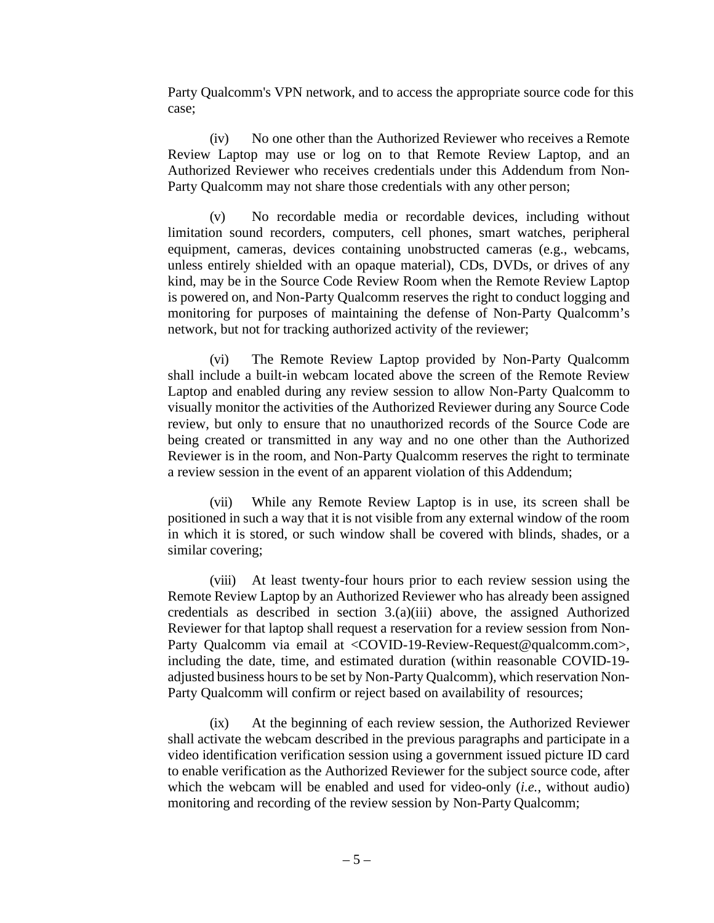Party Qualcomm's VPN network, and to access the appropriate source code for this case;

(iv) No one other than the Authorized Reviewer who receives a Remote Review Laptop may use or log on to that Remote Review Laptop, and an Authorized Reviewer who receives credentials under this Addendum from Non-Party Qualcomm may not share those credentials with any other person;

(v) No recordable media or recordable devices, including without limitation sound recorders, computers, cell phones, smart watches, peripheral equipment, cameras, devices containing unobstructed cameras (e.g., webcams, unless entirely shielded with an opaque material), CDs, DVDs, or drives of any kind, may be in the Source Code Review Room when the Remote Review Laptop is powered on, and Non-Party Qualcomm reserves the right to conduct logging and monitoring for purposes of maintaining the defense of Non-Party Qualcomm's network, but not for tracking authorized activity of the reviewer;

(vi) The Remote Review Laptop provided by Non-Party Qualcomm shall include a built-in webcam located above the screen of the Remote Review Laptop and enabled during any review session to allow Non-Party Qualcomm to visually monitor the activities of the Authorized Reviewer during any Source Code review, but only to ensure that no unauthorized records of the Source Code are being created or transmitted in any way and no one other than the Authorized Reviewer is in the room, and Non-Party Qualcomm reserves the right to terminate a review session in the event of an apparent violation of this Addendum;

(vii) While any Remote Review Laptop is in use, its screen shall be positioned in such a way that it is not visible from any external window of the room in which it is stored, or such window shall be covered with blinds, shades, or a similar covering;

(viii) At least twenty-four hours prior to each review session using the Remote Review Laptop by an Authorized Reviewer who has already been assigned credentials as described in section 3.(a)(iii) above, the assigned Authorized Reviewer for that laptop shall request a reservation for a review session from Non-Party Qualcomm via email at <COVID-19-Review-Request@qualcomm.com>, including the date, time, and estimated duration (within reasonable COVID-19 adjusted business hours to be set by Non-Party Qualcomm), which reservation Non-Party Qualcomm will confirm or reject based on availability of resources;

(ix) At the beginning of each review session, the Authorized Reviewer shall activate the webcam described in the previous paragraphs and participate in a video identification verification session using a government issued picture ID card to enable verification as the Authorized Reviewer for the subject source code, after which the webcam will be enabled and used for video-only (*i.e.*, without audio) monitoring and recording of the review session by Non-Party Qualcomm;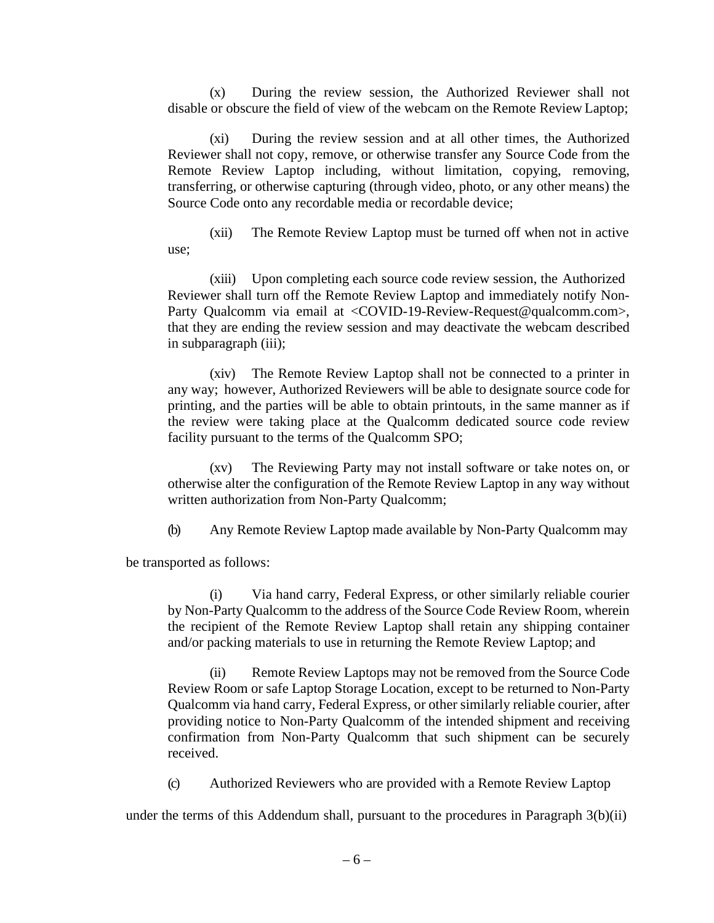(x) During the review session, the Authorized Reviewer shall not disable or obscure the field of view of the webcam on the Remote Review Laptop;

(xi) During the review session and at all other times, the Authorized Reviewer shall not copy, remove, or otherwise transfer any Source Code from the Remote Review Laptop including, without limitation, copying, removing, transferring, or otherwise capturing (through video, photo, or any other means) the Source Code onto any recordable media or recordable device;

(xii) The Remote Review Laptop must be turned off when not in active use;

(xiii) Upon completing each source code review session, the Authorized Reviewer shall turn off the Remote Review Laptop and immediately notify Non-Party Qualcomm via email at <COVID-19-Review-Request@qualcomm.com>, that they are ending the review session and may deactivate the webcam described in subparagraph (iii);

(xiv) The Remote Review Laptop shall not be connected to a printer in any way; however, Authorized Reviewers will be able to designate source code for printing, and the parties will be able to obtain printouts, in the same manner as if the review were taking place at the Qualcomm dedicated source code review facility pursuant to the terms of the Qualcomm SPO;

(xv) The Reviewing Party may not install software or take notes on, or otherwise alter the configuration of the Remote Review Laptop in any way without written authorization from Non-Party Qualcomm;

(b) Any Remote Review Laptop made available by Non-Party Qualcomm may

be transported as follows:

(i) Via hand carry, Federal Express, or other similarly reliable courier by Non-Party Qualcomm to the address of the Source Code Review Room, wherein the recipient of the Remote Review Laptop shall retain any shipping container and/or packing materials to use in returning the Remote Review Laptop; and

(ii) Remote Review Laptops may not be removed from the Source Code Review Room or safe Laptop Storage Location, except to be returned to Non-Party Qualcomm via hand carry, Federal Express, or other similarly reliable courier, after providing notice to Non-Party Qualcomm of the intended shipment and receiving confirmation from Non-Party Qualcomm that such shipment can be securely received.

(c) Authorized Reviewers who are provided with a Remote Review Laptop

under the terms of this Addendum shall, pursuant to the procedures in Paragraph 3(b)(ii)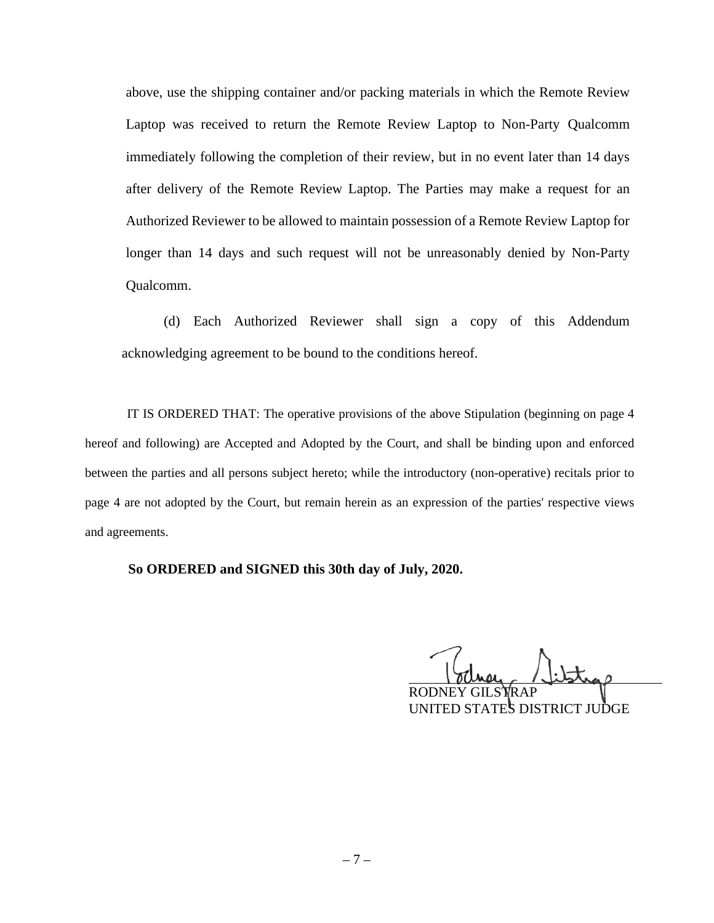above, use the shipping container and/or packing materials in which the Remote Review Laptop was received to return the Remote Review Laptop to Non-Party Qualcomm immediately following the completion of their review, but in no event later than 14 days after delivery of the Remote Review Laptop. The Parties may make a request for an Authorized Reviewer to be allowed to maintain possession of a Remote Review Laptop for longer than 14 days and such request will not be unreasonably denied by Non-Party Qualcomm.

(d) Each Authorized Reviewer shall sign a copy of this Addendum acknowledging agreement to be bound to the conditions hereof.

IT IS ORDERED THAT: The operative provisions of the above Stipulation (beginning on page 4 hereof and following) are Accepted and Adopted by the Court, and shall be binding upon and enforced between the parties and all persons subject hereto; while the introductory (non-operative) recitals prior to page 4 are not adopted by the Court, but remain herein as an expression of the parties' respective views and agreements.

**So ORDERED and SIGNED this 30th day of July, 2020.**

RODNEY GILS**Y**RAP

UNITED STATES DISTRICT JUDGE